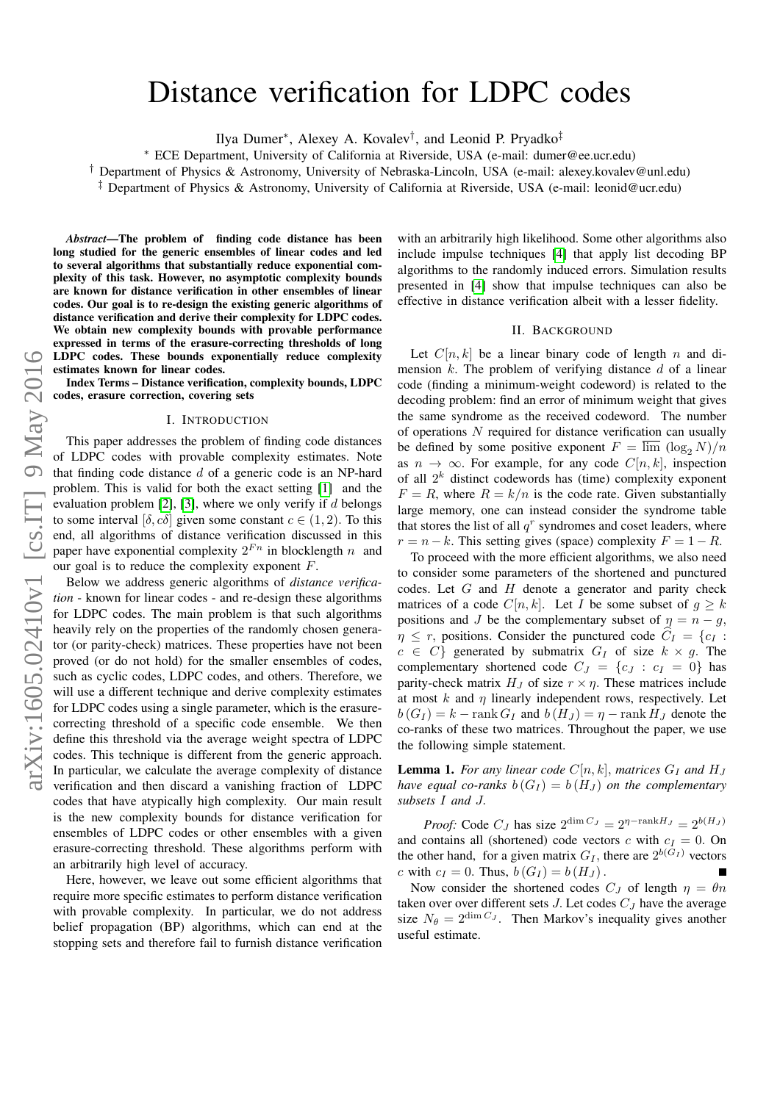# Distance verification for LDPC codes

Ilya Dumer<sup>∗</sup> , Alexey A. Kovalev† , and Leonid P. Pryadko‡

<sup>∗</sup> ECE Department, University of California at Riverside, USA (e-mail: dumer@ee.ucr.edu)

† Department of Physics & Astronomy, University of Nebraska-Lincoln, USA (e-mail: alexey.kovalev@unl.edu)

‡ Department of Physics & Astronomy, University of California at Riverside, USA (e-mail: leonid@ucr.edu)

*Abstract*—The problem of finding code distance has been long studied for the generic ensembles of linear codes and led to several algorithms that substantially reduce exponential complexity of this task. However, no asymptotic complexity bounds are known for distance verification in other ensembles of linear codes. Our goal is to re-design the existing generic algorithms of distance verification and derive their complexity for LDPC codes. We obtain new complexity bounds with provable performance expressed in terms of the erasure-correcting thresholds of long LDPC codes. These bounds exponentially reduce complexity estimates known for linear codes.

Index Terms – Distance verification, complexity bounds, LDPC codes, erasure correction, covering sets

#### I. INTRODUCTION

This paper addresses the problem of finding code distances of LDPC codes with provable complexity estimates. Note that finding code distance  $d$  of a generic code is an NP-hard problem. This is valid for both the exact setting [\[1\]](#page-4-0) and the evaluation problem  $[2]$ ,  $[3]$ , where we only verify if d belongs to some interval [ $\delta$ ,  $c\delta$ ] given some constant  $c \in (1, 2)$ . To this end, all algorithms of distance verification discussed in this paper have exponential complexity  $2^{Fn}$  in blocklength  $n$  and our goal is to reduce the complexity exponent  $F$ .

Below we address generic algorithms of *distance verification* - known for linear codes - and re-design these algorithms for LDPC codes. The main problem is that such algorithms heavily rely on the properties of the randomly chosen generator (or parity-check) matrices. These properties have not been proved (or do not hold) for the smaller ensembles of codes, such as cyclic codes, LDPC codes, and others. Therefore, we will use a different technique and derive complexity estimates for LDPC codes using a single parameter, which is the erasurecorrecting threshold of a specific code ensemble. We then define this threshold via the average weight spectra of LDPC codes. This technique is different from the generic approach. In particular, we calculate the average complexity of distance verification and then discard a vanishing fraction of LDPC codes that have atypically high complexity. Our main result is the new complexity bounds for distance verification for ensembles of LDPC codes or other ensembles with a given erasure-correcting threshold. These algorithms perform with an arbitrarily high level of accuracy.

Here, however, we leave out some efficient algorithms that require more specific estimates to perform distance verification with provable complexity. In particular, we do not address belief propagation (BP) algorithms, which can end at the stopping sets and therefore fail to furnish distance verification

with an arbitrarily high likelihood. Some other algorithms also include impulse techniques [\[4\]](#page-4-3) that apply list decoding BP algorithms to the randomly induced errors. Simulation results presented in [\[4\]](#page-4-3) show that impulse techniques can also be effective in distance verification albeit with a lesser fidelity.

#### II. BACKGROUND

Let  $C[n, k]$  be a linear binary code of length n and dimension  $k$ . The problem of verifying distance  $d$  of a linear code (finding a minimum-weight codeword) is related to the decoding problem: find an error of minimum weight that gives the same syndrome as the received codeword. The number of operations N required for distance verification can usually be defined by some positive exponent  $F = \overline{\lim} (\log_2 N)/n$ as  $n \to \infty$ . For example, for any code  $C[n, k]$ , inspection of all  $2<sup>k</sup>$  distinct codewords has (time) complexity exponent  $F = R$ , where  $R = k/n$  is the code rate. Given substantially large memory, one can instead consider the syndrome table that stores the list of all  $q<sup>r</sup>$  syndromes and coset leaders, where  $r = n - k$ . This setting gives (space) complexity  $F = 1 - R$ .

To proceed with the more efficient algorithms, we also need to consider some parameters of the shortened and punctured codes. Let  $G$  and  $H$  denote a generator and parity check matrices of a code  $C[n, k]$ . Let I be some subset of  $g \geq k$ positions and J be the complementary subset of  $\eta = n - g$ ,  $\eta \leq r$ , positions. Consider the punctured code  $\hat{C}_I = \{c_I : I\}$  $c \in C$  generated by submatrix  $G_I$  of size  $k \times g$ . The complementary shortened code  $C_J = \{c_J : c_I = 0\}$  has parity-check matrix  $H_J$  of size  $r \times \eta$ . These matrices include at most  $k$  and  $\eta$  linearly independent rows, respectively. Let  $b(G_I) = k - \text{rank } G_I$  and  $b(H_J) = \eta - \text{rank } H_J$  denote the co-ranks of these two matrices. Throughout the paper, we use the following simple statement.

**Lemma 1.** For any linear code  $C[n, k]$ , matrices  $G_I$  and  $H_J$ *have equal co-ranks*  $b(G_I) = b(H_J)$  *on the complementary subsets* I *and* J.

*Proof:* Code  $C_J$  has size  $2^{\dim C_J} = 2^{\eta - \text{rank}H_J} = 2^{b(H_J)}$ and contains all (shortened) code vectors c with  $c_I = 0$ . On the other hand, for a given matrix  $G_I$ , there are  $2^{b(G_I)}$  vectors c with  $c_I = 0$ . Thus,  $b(G_I) = b(H_J)$ .

Now consider the shortened codes  $C_J$  of length  $\eta = \theta n$ taken over over different sets J. Let codes  $C_J$  have the average size  $N_{\theta} = 2^{\dim C_J}$ . Then Markov's inequality gives another useful estimate.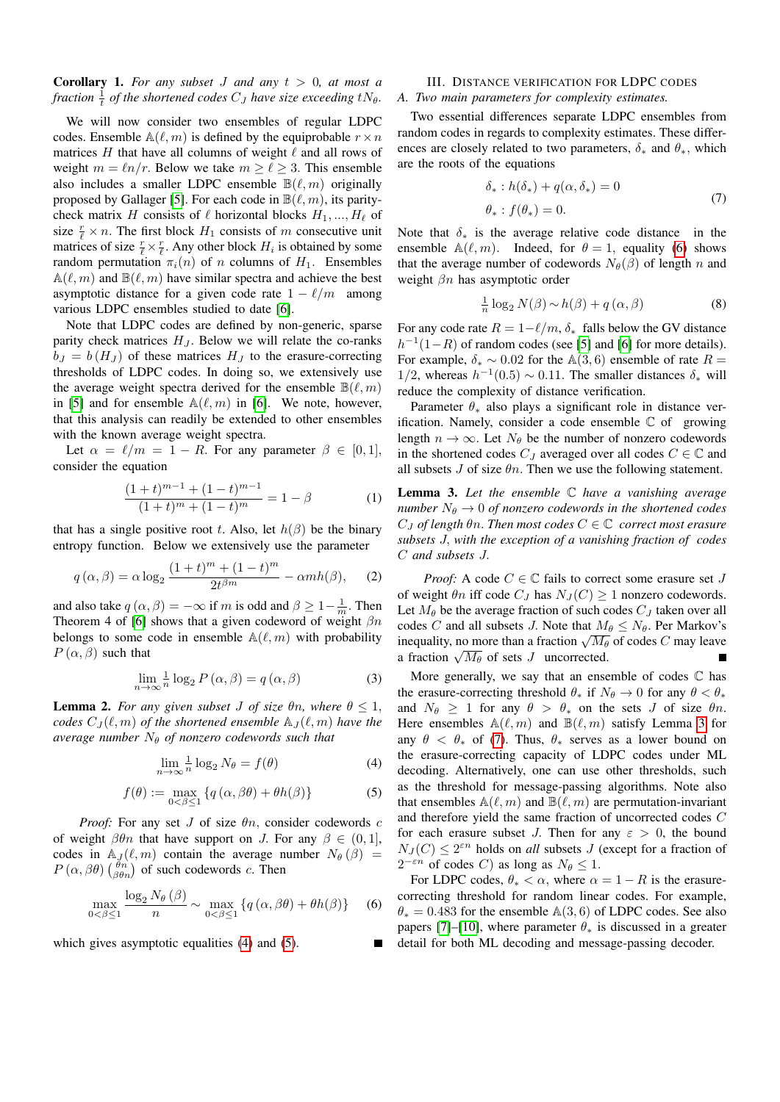# **Corollary 1.** For any subset J and any  $t > 0$ , at most a fraction  $\frac{1}{t}$  of the shortened codes  $C_J$  have size exceeding  $tN_{\theta}$ .

We will now consider two ensembles of regular LDPC codes. Ensemble  $\mathbb{A}(\ell, m)$  is defined by the equiprobable  $r \times n$ matrices H that have all columns of weight  $\ell$  and all rows of weight  $m = \ln/r$ . Below we take  $m > \ell > 3$ . This ensemble also includes a smaller LDPC ensemble  $\mathbb{B}(\ell, m)$  originally proposed by Gallager [\[5\]](#page-4-4). For each code in  $\mathbb{B}(\ell, m)$ , its paritycheck matrix H consists of  $\ell$  horizontal blocks  $H_1, ..., H_\ell$  of size  $\frac{r}{\ell} \times n$ . The first block  $H_1$  consists of m consecutive unit matrices of size  $\frac{r}{\ell} \times \frac{r}{\ell}$ . Any other block  $H_i$  is obtained by some random permutation  $\pi_i(n)$  of n columns of  $H_1$ . Ensembles  $\mathbb{A}(\ell, m)$  and  $\mathbb{B}(\ell, m)$  have similar spectra and achieve the best asymptotic distance for a given code rate  $1 - \ell/m$  among various LDPC ensembles studied to date [\[6\]](#page-4-5).

Note that LDPC codes are defined by non-generic, sparse parity check matrices  $H_J$ . Below we will relate the co-ranks  $b_J = b(H_J)$  of these matrices  $H_J$  to the erasure-correcting thresholds of LDPC codes. In doing so, we extensively use the average weight spectra derived for the ensemble  $\mathbb{B}(\ell, m)$ in [\[5\]](#page-4-4) and for ensemble  $\mathbb{A}(\ell, m)$  in [\[6\]](#page-4-5). We note, however, that this analysis can readily be extended to other ensembles with the known average weight spectra.

Let  $\alpha = \ell/m = 1 - R$ . For any parameter  $\beta \in [0, 1],$ consider the equation

$$
\frac{(1+t)^{m-1} + (1-t)^{m-1}}{(1+t)^m + (1-t)^m} = 1 - \beta \tag{1}
$$

that has a single positive root t. Also, let  $h(\beta)$  be the binary entropy function. Below we extensively use the parameter

$$
q(\alpha, \beta) = \alpha \log_2 \frac{(1+t)^m + (1-t)^m}{2t^{\beta m}} - \alpha m h(\beta), \quad (2)
$$

and also take  $q(\alpha, \beta) = -\infty$  if m is odd and  $\beta \geq 1 - \frac{1}{m}$ . Then Theorem 4 of [\[6\]](#page-4-5) shows that a given codeword of weight  $\beta n$ belongs to some code in ensemble  $\mathbb{A}(\ell, m)$  with probability  $P(\alpha, \beta)$  such that

$$
\lim_{n \to \infty} \frac{1}{n} \log_2 P(\alpha, \beta) = q(\alpha, \beta)
$$
 (3)

**Lemma 2.** *For any given subset J of size*  $\theta$ *n, where*  $\theta \leq 1$ *, codes*  $C_J(\ell, m)$  *of the shortened ensemble*  $\mathbb{A}_J(\ell, m)$  *have the average number*  $N_{\theta}$  *of nonzero codewords such that* 

<span id="page-1-0"></span>
$$
\lim_{n \to \infty} \frac{1}{n} \log_2 N_\theta = f(\theta) \tag{4}
$$

<span id="page-1-1"></span>
$$
f(\theta) := \max_{0 < \beta \le 1} \left\{ q\left(\alpha, \beta\theta\right) + \theta h(\beta) \right\} \tag{5}
$$

*Proof:* For any set  $J$  of size  $\theta n$ , consider codewords  $c$ of weight  $\beta \theta n$  that have support on J. For any  $\beta \in (0,1]$ , codes in  $\mathbb{A}_J(\ell, m)$  contain the average number  $N_\theta(\beta)$  =  $P(\alpha, \beta\theta)$   $\begin{pmatrix} \theta n \\ \beta\theta n \end{pmatrix}$  of such codewords c. Then

<span id="page-1-2"></span>
$$
\max_{0 < \beta \le 1} \frac{\log_2 N_\theta(\beta)}{n} \sim \max_{0 < \beta \le 1} \left\{ q\left(\alpha, \beta\theta\right) + \theta h(\beta) \right\} \tag{6}
$$

which gives asymptotic equalities [\(4\)](#page-1-0) and [\(5\)](#page-1-1).

#### III. DISTANCE VERIFICATION FOR LDPC CODES *A. Two main parameters for complexity estimates.*

Two essential differences separate LDPC ensembles from random codes in regards to complexity estimates. These differences are closely related to two parameters,  $\delta_*$  and  $\theta_*$ , which are the roots of the equations

<span id="page-1-4"></span>
$$
\delta_* : h(\delta_*) + q(\alpha, \delta_*) = 0
$$
  
\n
$$
\theta_* : f(\theta_*) = 0.
$$
\n(7)

Note that  $\delta_*$  is the average relative code distance in the ensemble  $\mathbb{A}(\ell, m)$ . Indeed, for  $\theta = 1$ , equality [\(6\)](#page-1-2) shows that the average number of codewords  $N_{\theta}(\beta)$  of length n and weight  $\beta n$  has asymptotic order

$$
\frac{1}{n}\log_2 N(\beta) \sim h(\beta) + q(\alpha, \beta)
$$
 (8)

For any code rate  $R = 1 - \ell/m$ ,  $\delta_*$  falls below the GV distance  $h^{-1}(1-R)$  of random codes (see [\[5\]](#page-4-4) and [\[6\]](#page-4-5) for more details). For example,  $\delta_* \sim 0.02$  for the A(3,6) ensemble of rate  $R =$ 1/2, whereas  $h^{-1}(0.5) \sim 0.11$ . The smaller distances  $\delta_*$  will reduce the complexity of distance verification.

Parameter  $\theta_*$  also plays a significant role in distance verification. Namely, consider a code ensemble  $\mathbb C$  of growing length  $n \to \infty$ . Let  $N_{\theta}$  be the number of nonzero codewords in the shortened codes  $C_J$  averaged over all codes  $C \in \mathbb{C}$  and all subsets J of size  $\theta$ n. Then we use the following statement.

<span id="page-1-3"></span>Lemma 3. *Let the ensemble* C *have a vanishing average number*  $N_{\theta} \rightarrow 0$  *of nonzero codewords in the shortened codes*  $C_J$  *of length*  $\theta n$ . Then most codes  $C \in \mathbb{C}$  correct most erasure *subsets* J, *with the exception of a vanishing fraction of codes* C *and subsets* J.

*Proof:* A code  $C \in \mathbb{C}$  fails to correct some erasure set J of weight  $\theta n$  iff code  $C_J$  has  $N_J(C) \geq 1$  nonzero codewords. Let  $M_{\theta}$  be the average fraction of such codes  $C_J$  taken over all codes C and all subsets J. Note that  $M_{\theta} \leq N_{\theta}$ . Per Markov's codes C and all subsets *J*. Note that  $M_{\theta} \le N_{\theta}$ . For Markov s<br>inequality, no more than a fraction  $\sqrt{M_{\theta}}$  of codes C may leave inequality, no more than a fraction  $\sqrt{M_{\theta}}$  of sets J uncorrected.

More generally, we say that an ensemble of codes  $\mathbb C$  has the erasure-correcting threshold  $\theta_*$  if  $N_\theta \to 0$  for any  $\theta < \theta_*$ and  $N_{\theta} \geq 1$  for any  $\theta > \theta_*$  on the sets J of size  $\theta n$ . Here ensembles  $\mathbb{A}(\ell, m)$  and  $\mathbb{B}(\ell, m)$  satisfy Lemma [3](#page-1-3) for any  $\theta < \theta_*$  of [\(7\)](#page-1-4). Thus,  $\theta_*$  serves as a lower bound on the erasure-correcting capacity of LDPC codes under ML decoding. Alternatively, one can use other thresholds, such as the threshold for message-passing algorithms. Note also that ensembles  $\mathbb{A}(\ell, m)$  and  $\mathbb{B}(\ell, m)$  are permutation-invariant and therefore yield the same fraction of uncorrected codes C for each erasure subset J. Then for any  $\varepsilon > 0$ , the bound  $N_J(C) \leq 2^{\varepsilon n}$  holds on *all* subsets J (except for a fraction of  $2^{-\varepsilon n}$  of codes C) as long as  $N_\theta \leq 1$ .

For LDPC codes,  $\theta_* < \alpha$ , where  $\alpha = 1 - R$  is the erasurecorrecting threshold for random linear codes. For example,  $\theta_* = 0.483$  for the ensemble  $\mathbb{A}(3,6)$  of LDPC codes. See also papers [\[7\]](#page-4-6)–[\[10\]](#page-4-7), where parameter  $\theta_*$  is discussed in a greater detail for both ML decoding and message-passing decoder.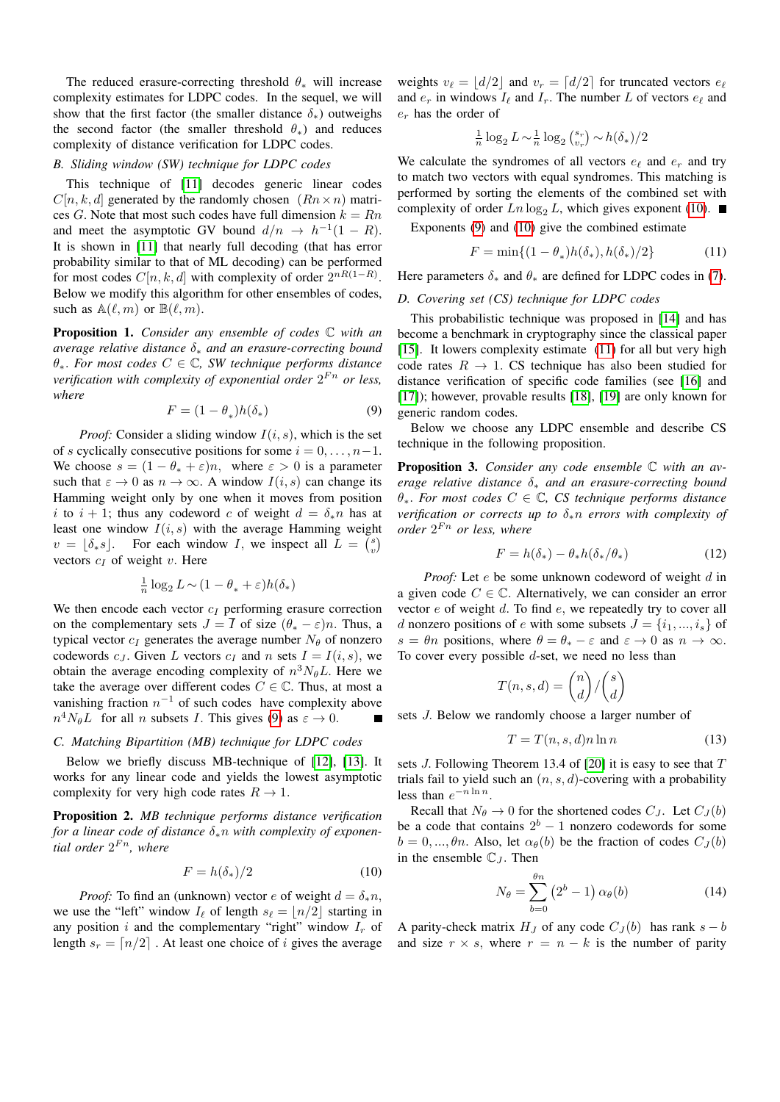The reduced erasure-correcting threshold  $\theta_*$  will increase complexity estimates for LDPC codes. In the sequel, we will show that the first factor (the smaller distance  $\delta_*$ ) outweighs the second factor (the smaller threshold  $\theta_*$ ) and reduces complexity of distance verification for LDPC codes.

## *B. Sliding window (SW) technique for LDPC codes*

This technique of [\[11\]](#page-4-8) decodes generic linear codes  $C[n, k, d]$  generated by the randomly chosen  $(Rn \times n)$  matrices G. Note that most such codes have full dimension  $k = Rn$ and meet the asymptotic GV bound  $d/n \rightarrow h^{-1}(1 - R)$ . It is shown in [\[11\]](#page-4-8) that nearly full decoding (that has error probability similar to that of ML decoding) can be performed for most codes  $C[n, k, d]$  with complexity of order  $2^{nR(1-R)}$ . Below we modify this algorithm for other ensembles of codes, such as  $\mathbb{A}(\ell, m)$  or  $\mathbb{B}(\ell, m)$ .

Proposition 1. *Consider any ensemble of codes* C *with an average relative distance* δ<sup>∗</sup> *and an erasure-correcting bound* θ∗. *For most codes* C ∈ C*, SW technique performs distance verification with complexity of exponential order*  $2^{Fn}$  *or less, where*

<span id="page-2-0"></span>
$$
F = (1 - \theta_*)h(\delta_*)
$$
\n(9)

*Proof:* Consider a sliding window  $I(i, s)$ , which is the set of s cyclically consecutive positions for some  $i = 0, \ldots, n-1$ . We choose  $s = (1 - \theta_* + \varepsilon)n$ , where  $\varepsilon > 0$  is a parameter such that  $\varepsilon \to 0$  as  $n \to \infty$ . A window  $I(i, s)$  can change its Hamming weight only by one when it moves from position i to  $i + 1$ ; thus any codeword c of weight  $d = \delta_* n$  has at least one window  $I(i, s)$  with the average Hamming weight  $v = \lfloor \delta_* s \rfloor$ . For each window I, we inspect all  $\overline{L} = \begin{pmatrix} s \\ v \end{pmatrix}$ vectors  $c_I$  of weight v. Here

$$
\frac{1}{n}\log_2 L \sim (1-\theta_*+\varepsilon)h(\delta_*)
$$

We then encode each vector  $c_I$  performing erasure correction on the complementary sets  $J = \overline{I}$  of size  $(\theta_* - \varepsilon)n$ . Thus, a typical vector  $c_I$  generates the average number  $N_\theta$  of nonzero codewords c<sub>J</sub>. Given L vectors c<sub>I</sub> and n sets  $I = I(i, s)$ , we obtain the average encoding complexity of  $n^3N_{\theta}L$ . Here we take the average over different codes  $C \in \mathbb{C}$ . Thus, at most a vanishing fraction  $n^{-1}$  of such codes have complexity above  $n^4 N_{\theta} L$  for all *n* subsets *I*. This gives [\(9\)](#page-2-0) as  $\varepsilon \to 0$ .

#### *C. Matching Bipartition (MB) technique for LDPC codes*

Below we briefly discuss MB-technique of [\[12\]](#page-4-9), [\[13\]](#page-4-10). It works for any linear code and yields the lowest asymptotic complexity for very high code rates  $R \to 1$ .

Proposition 2. *MB technique performs distance verification for a linear code of distance* δ∗n *with complexity of exponen*tial order  $2^{Fn}$ , where

<span id="page-2-1"></span>
$$
F = h(\delta_*)/2 \tag{10}
$$

*Proof:* To find an (unknown) vector e of weight  $d = \delta_* n$ , we use the "left" window  $I_\ell$  of length  $s_\ell = |n/2|$  starting in any position i and the complementary "right" window  $I_r$  of length  $s_r = \lfloor n/2 \rfloor$ . At least one choice of i gives the average

weights  $v_\ell = |d/2|$  and  $v_r = [d/2]$  for truncated vectors  $e_\ell$ and  $e_r$  in windows  $I_\ell$  and  $I_r$ . The number L of vectors  $e_\ell$  and  $e_r$  has the order of

$$
\frac{1}{n}\log_2 L \sim \frac{1}{n}\log_2\binom{s_r}{v_r} \sim h(\delta_*)/2
$$

We calculate the syndromes of all vectors  $e_{\ell}$  and  $e_r$  and try to match two vectors with equal syndromes. This matching is performed by sorting the elements of the combined set with complexity of order  $Ln \log_2 L$ , which gives exponent [\(10\)](#page-2-1).

Exponents [\(9\)](#page-2-0) and [\(10\)](#page-2-1) give the combined estimate

<span id="page-2-2"></span>
$$
F = \min\{(1 - \theta_*)h(\delta_*), h(\delta_*)/2\}
$$
 (11)

Here parameters  $\delta_*$  and  $\theta_*$  are defined for LDPC codes in [\(7\)](#page-1-4).

## *D. Covering set (CS) technique for LDPC codes*

This probabilistic technique was proposed in [\[14\]](#page-4-11) and has become a benchmark in cryptography since the classical paper [\[15\]](#page-4-12). It lowers complexity estimate [\(11\)](#page-2-2) for all but very high code rates  $R \rightarrow 1$ . CS technique has also been studied for distance verification of specific code families (see [\[16\]](#page-4-13) and [\[17\]](#page-4-14)); however, provable results [\[18\]](#page-4-15), [\[19\]](#page-4-16) are only known for generic random codes.

Below we choose any LDPC ensemble and describe CS technique in the following proposition.

Proposition 3. *Consider any code ensemble* C *with an average relative distance* δ<sup>∗</sup> *and an erasure-correcting bound* θ∗. *For most codes* C ∈ C*, CS technique performs distance verification or corrects up to* δ∗n *errors with complexity of order*  $2^{Fn}$  *or less, where* 

<span id="page-2-3"></span>
$$
F = h(\delta_*) - \theta_* h(\delta_*/\theta_*)
$$
\n(12)

*Proof:* Let *e* be some unknown codeword of weight *d* in a given code  $C \in \mathbb{C}$ . Alternatively, we can consider an error vector  $e$  of weight  $d$ . To find  $e$ , we repeatedly try to cover all d nonzero positions of e with some subsets  $J = \{i_1, ..., i_s\}$  of  $s = \theta n$  positions, where  $\theta = \theta_* - \varepsilon$  and  $\varepsilon \to 0$  as  $n \to \infty$ . To cover every possible  $d$ -set, we need no less than

$$
T(n, s, d) = \binom{n}{d} / \binom{s}{d}
$$

sets J. Below we randomly choose a larger number of

$$
T = T(n, s, d)n \ln n \tag{13}
$$

sets  $J$ . Following Theorem 13.4 of [\[20\]](#page-4-17) it is easy to see that  $T$ trials fail to yield such an  $(n, s, d)$ -covering with a probability less than  $e^{-n \ln n}$ .

Recall that  $N_{\theta} \rightarrow 0$  for the shortened codes  $C_I$ . Let  $C_I (b)$ be a code that contains  $2^b - 1$  nonzero codewords for some  $b = 0, ..., \theta n$ . Also, let  $\alpha_{\theta}(b)$  be the fraction of codes  $C_{J}(b)$ in the ensemble  $\mathbb{C}_J$ . Then

$$
N_{\theta} = \sum_{b=0}^{\theta n} (2^b - 1) \alpha_{\theta}(b)
$$
 (14)

A parity-check matrix  $H_J$  of any code  $C_J(b)$  has rank  $s - b$ and size  $r \times s$ , where  $r = n - k$  is the number of parity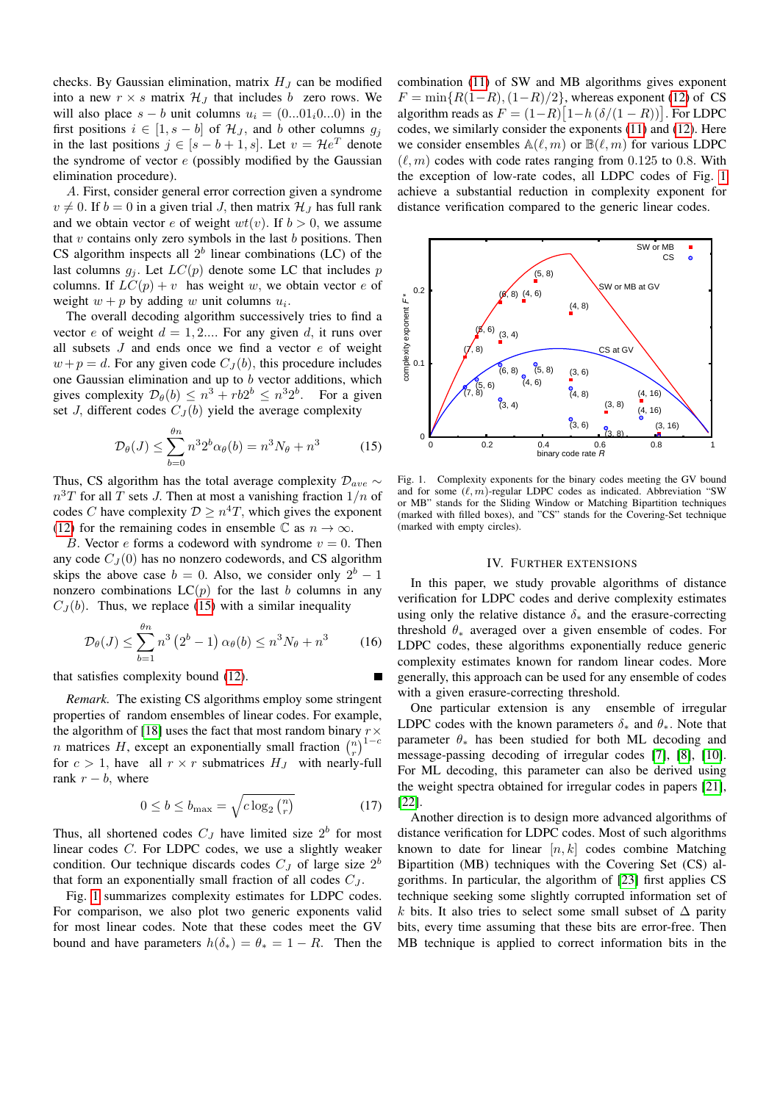checks. By Gaussian elimination, matrix  $H_J$  can be modified into a new  $r \times s$  matrix  $\mathcal{H}_J$  that includes b zero rows. We will also place  $s - b$  unit columns  $u_i = (0...01_i0...0)$  in the first positions  $i \in [1, s - b]$  of  $\mathcal{H}_J$ , and b other columns  $g_j$ in the last positions  $j \in [s-b+1, s]$ . Let  $v = He^T$  denote the syndrome of vector  $e$  (possibly modified by the Gaussian elimination procedure).

A. First, consider general error correction given a syndrome  $v \neq 0$ . If  $b = 0$  in a given trial J, then matrix  $\mathcal{H}_J$  has full rank and we obtain vector e of weight  $wt(v)$ . If  $b > 0$ , we assume that v contains only zero symbols in the last  $b$  positions. Then CS algorithm inspects all  $2^b$  linear combinations (LC) of the last columns  $g_j$ . Let  $LC(p)$  denote some LC that includes p columns. If  $LC(p) + v$  has weight w, we obtain vector e of weight  $w + p$  by adding w unit columns  $u_i$ .

The overall decoding algorithm successively tries to find a vector e of weight  $d = 1, 2,...$  For any given d, it runs over all subsets  $J$  and ends once we find a vector  $e$  of weight  $w+p=d$ . For any given code  $C_J(b)$ , this procedure includes one Gaussian elimination and up to b vector additions, which gives complexity  $\mathcal{D}_{\theta}(b) \leq n^3 + rb2^b \leq n^3 2^b$ . For a given set J, different codes  $C_I(b)$  yield the average complexity

<span id="page-3-0"></span>
$$
\mathcal{D}_{\theta}(J) \le \sum_{b=0}^{\theta n} n^3 2^b \alpha_{\theta}(b) = n^3 N_{\theta} + n^3 \tag{15}
$$

Thus, CS algorithm has the total average complexity  $\mathcal{D}_{ave}$  ∼  $n^{3}T$  for all T sets J. Then at most a vanishing fraction  $1/n$  of codes C have complexity  $\mathcal{D} \geq n^4T$ , which gives the exponent [\(12\)](#page-2-3) for the remaining codes in ensemble  $\mathbb C$  as  $n \to \infty$ .

B. Vector e forms a codeword with syndrome  $v = 0$ . Then any code  $C_J(0)$  has no nonzero codewords, and CS algorithm skips the above case  $b = 0$ . Also, we consider only  $2<sup>b</sup> - 1$ nonzero combinations  $LC(p)$  for the last b columns in any  $C_J(b)$ . Thus, we replace [\(15\)](#page-3-0) with a similar inequality

$$
\mathcal{D}_{\theta}(J) \le \sum_{b=1}^{\theta n} n^3 (2^b - 1) \alpha_{\theta}(b) \le n^3 N_{\theta} + n^3 \qquad (16)
$$

that satisfies complexity bound [\(12\)](#page-2-3).

*Remark.* The existing CS algorithms employ some stringent properties of random ensembles of linear codes. For example, the algorithm of [\[18\]](#page-4-15) uses the fact that most random binary  $r \times$ *n* matrices H, except an exponentially small fraction  $\binom{n}{r}^{1-c}$ for  $c > 1$ , have all  $r \times r$  submatrices  $H_J$  with nearly-full rank  $r - b$ , where

$$
0 \le b \le b_{\max} = \sqrt{c \log_2\binom{n}{r}} \tag{17}
$$

Thus, all shortened codes  $C_J$  have limited size  $2^b$  for most linear codes C. For LDPC codes, we use a slightly weaker condition. Our technique discards codes  $C_J$  of large size  $2^b$ that form an exponentially small fraction of all codes  $C_J$ .

Fig. [1](#page-3-1) summarizes complexity estimates for LDPC codes. For comparison, we also plot two generic exponents valid for most linear codes. Note that these codes meet the GV bound and have parameters  $h(\delta_*) = \theta_* = 1 - R$ . Then the

combination [\(11\)](#page-2-2) of SW and MB algorithms gives exponent  $F = \min\{R(1-R), (1-R)/2\}$ , whereas exponent [\(12\)](#page-2-3) of CS algorithm reads as  $F = (1 - R) [1 - h (\delta/(1 - R))]$ . For LDPC codes, we similarly consider the exponents [\(11\)](#page-2-2) and [\(12\)](#page-2-3). Here we consider ensembles  $\mathbb{A}(\ell, m)$  or  $\mathbb{B}(\ell, m)$  for various LDPC  $(\ell, m)$  codes with code rates ranging from 0.125 to 0.8. With the exception of low-rate codes, all LDPC codes of Fig. [1](#page-3-1) achieve a substantial reduction in complexity exponent for distance verification compared to the generic linear codes.



<span id="page-3-1"></span>Fig. 1. Complexity exponents for the binary codes meeting the GV bound and for some  $(\ell, m)$ -regular LDPC codes as indicated. Abbreviation "SW or MB" stands for the Sliding Window or Matching Bipartition techniques (marked with filled boxes), and "CS" stands for the Covering-Set technique (marked with empty circles).

#### IV. FURTHER EXTENSIONS

In this paper, we study provable algorithms of distance verification for LDPC codes and derive complexity estimates using only the relative distance  $\delta_*$  and the erasure-correcting threshold  $\theta_*$  averaged over a given ensemble of codes. For LDPC codes, these algorithms exponentially reduce generic complexity estimates known for random linear codes. More generally, this approach can be used for any ensemble of codes with a given erasure-correcting threshold.

One particular extension is any ensemble of irregular LDPC codes with the known parameters  $\delta_*$  and  $\theta_*$ . Note that parameter  $\theta_*$  has been studied for both ML decoding and message-passing decoding of irregular codes [\[7\]](#page-4-6), [\[8\]](#page-4-18), [\[10\]](#page-4-7). For ML decoding, this parameter can also be derived using the weight spectra obtained for irregular codes in papers [\[21\]](#page-4-19), [\[22\]](#page-4-20).

Another direction is to design more advanced algorithms of distance verification for LDPC codes. Most of such algorithms known to date for linear  $[n, k]$  codes combine Matching Bipartition (MB) techniques with the Covering Set (CS) algorithms. In particular, the algorithm of [\[23\]](#page-4-21) first applies CS technique seeking some slightly corrupted information set of k bits. It also tries to select some small subset of  $\Delta$  parity bits, every time assuming that these bits are error-free. Then MB technique is applied to correct information bits in the